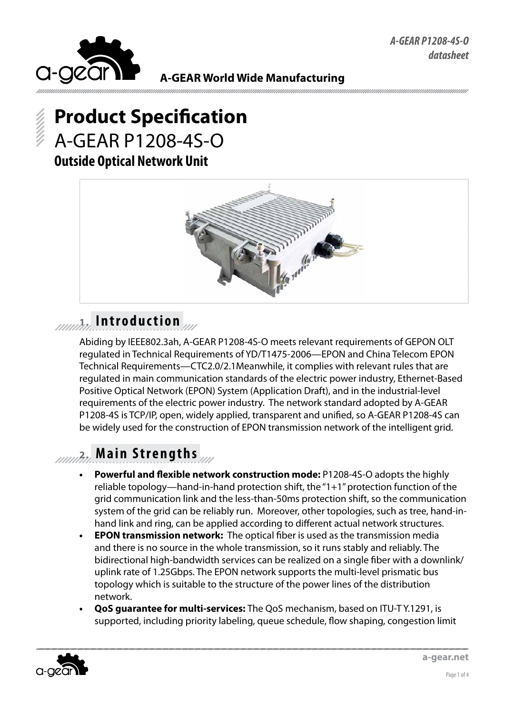

# **Product Specification** A-GEAR P1208-4S-O **Outside Optical Network Unit**



# **1. Introduction**

Abiding by IEEE802.3ah, A-GEAR P1208-4S-O meets relevant requirements of GEPON OLT regulated in Technical Requirements of YD/T1475-2006—EPON and China Telecom EPON Technical Requirements—CTC2.0/2.1Meanwhile, it complies with relevant rules that are regulated in main communication standards of the electric power industry, Ethernet-Based Positive Optical Network (EPON) System (Application Draft), and in the industrial-level requirements of the electric power industry. The network standard adopted by A-GEAR P1208-4S is TCP/IP, open, widely applied, transparent and unified, so A-GEAR P1208-4S can be widely used for the construction of EPON transmission network of the intelligent grid.

# **2. Main Strengths**

- **Powerful and flexible network construction mode: P1208-4S-O adopts the highly** reliable topology—hand-in-hand protection shift, the "1+1" protection function of the grid communication link and the less-than-50ms protection shift, so the communication system of the grid can be reliably run. Moreover, other topologies, such as tree, hand-inhand link and ring, can be applied according to different actual network structures.
- **EPON transmission network:** The optical fiber is used as the transmission media and there is no source in the whole transmission, so it runs stably and reliably. The bidirectional high-bandwidth services can be realized on a single fiber with a downlink/ uplink rate of 1.25Gbps. The EPON network supports the multi-level prismatic bus topology which is suitable to the structure of the power lines of the distribution network.
- **• QoS guarantee for multi-services:** The QoS mechanism, based on ITU-T Y.1291, is supported, including priority labeling, queue schedule, flow shaping, congestion limit

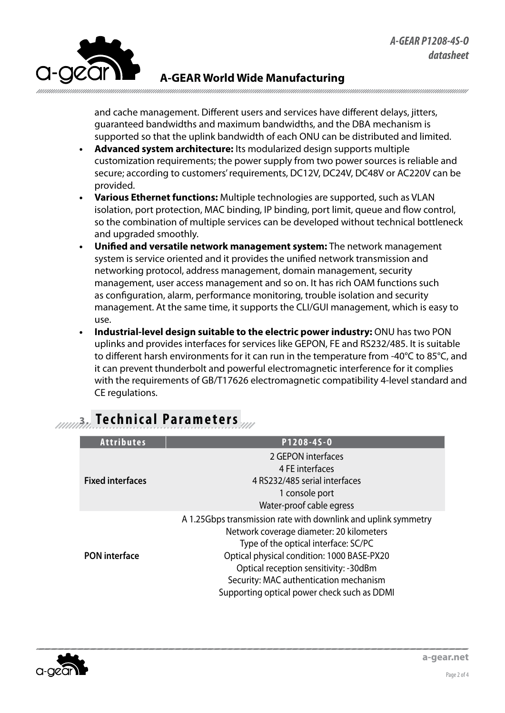

and cache management. Different users and services have different delays, jitters, guaranteed bandwidths and maximum bandwidths, and the DBA mechanism is supported so that the uplink bandwidth of each ONU can be distributed and limited.

- **Advanced system architecture:** Its modularized design supports multiple customization requirements; the power supply from two power sources is reliable and secure; according to customers' requirements, DC12V, DC24V, DC48V or AC220V can be provided.
- **Various Ethernet functions:** Multiple technologies are supported, such as VLAN isolation, port protection, MAC binding, IP binding, port limit, queue and flow control, so the combination of multiple services can be developed without technical bottleneck and upgraded smoothly.
- **Unified and versatile network management system:** The network management system is service oriented and it provides the unified network transmission and networking protocol, address management, domain management, security management, user access management and so on. It has rich OAM functions such as configuration, alarm, performance monitoring, trouble isolation and security management. At the same time, it supports the CLI/GUI management, which is easy to use.
- **• Industrial-level design suitable to the electric power industry:** ONU has two PON uplinks and provides interfaces for services like GEPON, FE and RS232/485. It is suitable to different harsh environments for it can run in the temperature from -40°C to 85°C, and it can prevent thunderbolt and powerful electromagnetic interference for it complies with the requirements of GB/T17626 electromagnetic compatibility 4-level standard and CE regulations.

| <b>Attributes</b>       | P1208-45-0                                                                                                                                                                                                                                                                                                                         |  |  |  |  |
|-------------------------|------------------------------------------------------------------------------------------------------------------------------------------------------------------------------------------------------------------------------------------------------------------------------------------------------------------------------------|--|--|--|--|
| <b>Fixed interfaces</b> | 2 GEPON interfaces<br>4 FE interfaces<br>4 RS232/485 serial interfaces<br>1 console port<br>Water-proof cable egress                                                                                                                                                                                                               |  |  |  |  |
| <b>PON</b> interface    | A 1.25Gbps transmission rate with downlink and uplink symmetry<br>Network coverage diameter: 20 kilometers<br>Type of the optical interface: SC/PC<br>Optical physical condition: 1000 BASE-PX20<br>Optical reception sensitivity: -30dBm<br>Security: MAC authentication mechanism<br>Supporting optical power check such as DDMI |  |  |  |  |

### **3. Technical Parameters**

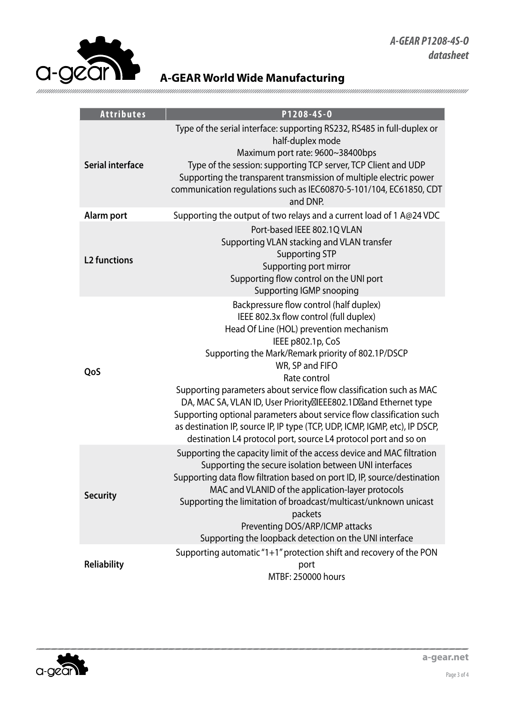

| <b>Attributes</b>       | P1208-45-0                                                                                                                                                                                                                                                                                                                                                                                                                                                                                                                                                                                                      |  |  |  |  |  |
|-------------------------|-----------------------------------------------------------------------------------------------------------------------------------------------------------------------------------------------------------------------------------------------------------------------------------------------------------------------------------------------------------------------------------------------------------------------------------------------------------------------------------------------------------------------------------------------------------------------------------------------------------------|--|--|--|--|--|
| <b>Serial interface</b> | Type of the serial interface: supporting RS232, RS485 in full-duplex or<br>half-duplex mode<br>Maximum port rate: 9600~38400bps<br>Type of the session: supporting TCP server, TCP Client and UDP<br>Supporting the transparent transmission of multiple electric power<br>communication regulations such as IEC60870-5-101/104, EC61850, CDT<br>and DNP.                                                                                                                                                                                                                                                       |  |  |  |  |  |
| Alarm port              | Supporting the output of two relays and a current load of 1 A@24 VDC                                                                                                                                                                                                                                                                                                                                                                                                                                                                                                                                            |  |  |  |  |  |
| <b>L2 functions</b>     | Port-based IEEE 802.1Q VLAN<br>Supporting VLAN stacking and VLAN transfer<br><b>Supporting STP</b><br>Supporting port mirror<br>Supporting flow control on the UNI port<br><b>Supporting IGMP snooping</b>                                                                                                                                                                                                                                                                                                                                                                                                      |  |  |  |  |  |
| QoS                     | Backpressure flow control (half duplex)<br>IEEE 802.3x flow control (full duplex)<br>Head Of Line (HOL) prevention mechanism<br>IEEE p802.1p, CoS<br>Supporting the Mark/Remark priority of 802.1P/DSCP<br>WR, SP and FIFO<br>Rate control<br>Supporting parameters about service flow classification such as MAC<br>DA, MAC SA, VLAN ID, User Priority IEEE802.1D and Ethernet type<br>Supporting optional parameters about service flow classification such<br>as destination IP, source IP, IP type (TCP, UDP, ICMP, IGMP, etc), IP DSCP,<br>destination L4 protocol port, source L4 protocol port and so on |  |  |  |  |  |
| <b>Security</b>         | Supporting the capacity limit of the access device and MAC filtration<br>Supporting the secure isolation between UNI interfaces<br>Supporting data flow filtration based on port ID, IP, source/destination<br>MAC and VLANID of the application-layer protocols<br>Supporting the limitation of broadcast/multicast/unknown unicast<br>packets<br>Preventing DOS/ARP/ICMP attacks<br>Supporting the loopback detection on the UNI interface                                                                                                                                                                    |  |  |  |  |  |
| <b>Reliability</b>      | Supporting automatic "1+1" protection shift and recovery of the PON<br>port<br>MTBF: 250000 hours                                                                                                                                                                                                                                                                                                                                                                                                                                                                                                               |  |  |  |  |  |